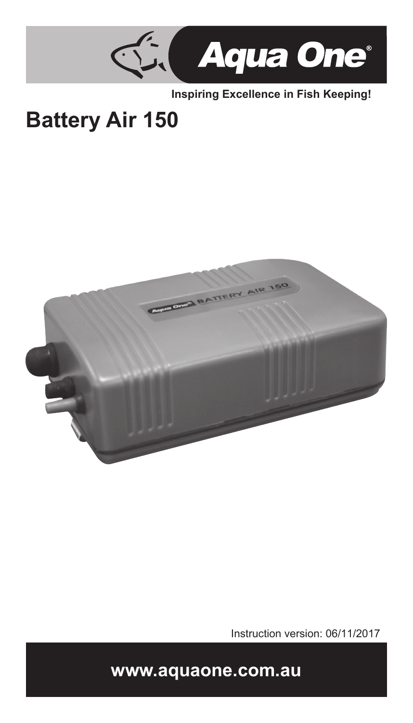

**Inspiring Excellence in Fish Keeping!**

# **Battery Air 150**



Instruction version: 06/11/2017

**www.aquaone.com.au**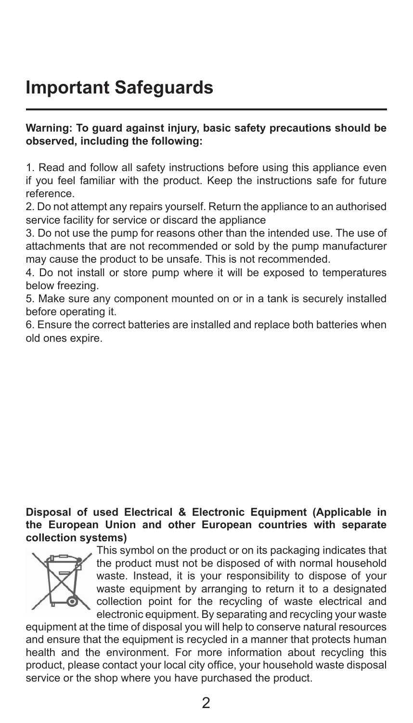## **Important Safeguards**

#### **Warning: To guard against injury, basic safety precautions should be observed, including the following:**

1. Read and follow all safety instructions before using this appliance even if you feel familiar with the product. Keep the instructions safe for future reference.

2. Do not attempt any repairs yourself. Return the appliance to an authorised service facility for service or discard the appliance

3. Do not use the pump for reasons other than the intended use. The use of attachments that are not recommended or sold by the pump manufacturer may cause the product to be unsafe. This is not recommended.

4. Do not install or store pump where it will be exposed to temperatures below freezing.

5. Make sure any component mounted on or in a tank is securely installed before operating it.

6. Ensure the correct batteries are installed and replace both batteries when old ones expire.

### **Disposal of used Electrical & Electronic Equipment (Applicable in the European Union and other European countries with separate collection systems)**



This symbol on the product or on its packaging indicates that the product must not be disposed of with normal household waste. Instead, it is your responsibility to dispose of your waste equipment by arranging to return it to a designated collection point for the recycling of waste electrical and electronic equipment. By separating and recycling your waste

equipment at the time of disposal you will help to conserve natural resources and ensure that the equipment is recycled in a manner that protects human health and the environment. For more information about recycling this product, please contact your local city office, your household waste disposal service or the shop where you have purchased the product.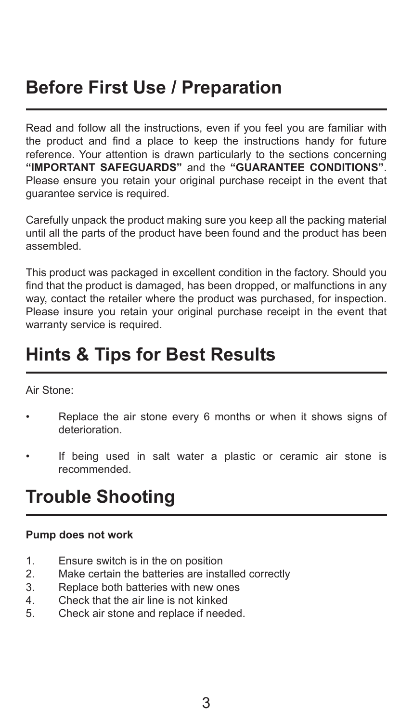## **Before First Use / Preparation**

Read and follow all the instructions, even if you feel you are familiar with the product and find a place to keep the instructions handy for future reference. Your attention is drawn particularly to the sections concerning **"IMPORTANT SAFEGUARDS"** and the **"GUARANTEE CONDITIONS"**. Please ensure you retain your original purchase receipt in the event that guarantee service is required.

Carefully unpack the product making sure you keep all the packing material until all the parts of the product have been found and the product has been assembled.

This product was packaged in excellent condition in the factory. Should you find that the product is damaged, has been dropped, or malfunctions in any way, contact the retailer where the product was purchased, for inspection. Please insure you retain your original purchase receipt in the event that warranty service is required.

### **Hints & Tips for Best Results**

Air Stone:

- Replace the air stone every 6 months or when it shows signs of deterioration.
- If being used in salt water a plastic or ceramic air stone is recommended.

### **Trouble Shooting**

### **Pump does not work**

- 1. Ensure switch is in the on position<br>2. Make certain the batteries are inst
- 2. Make certain the batteries are installed correctly<br>3. Replace both batteries with new ones
- Replace both batteries with new ones
- 4. Check that the air line is not kinked
- 5. Check air stone and replace if needed.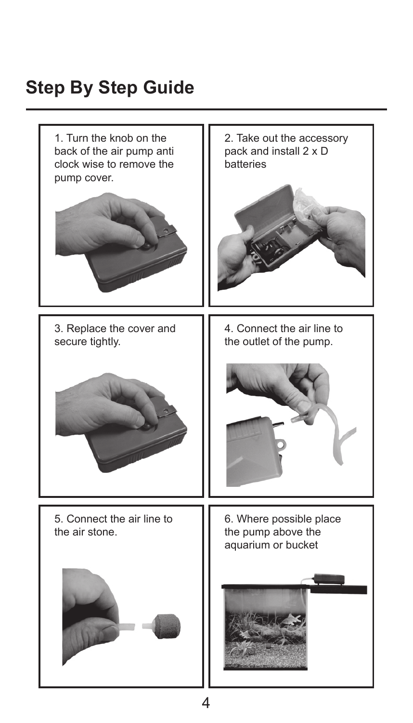## **Step By Step Guide**

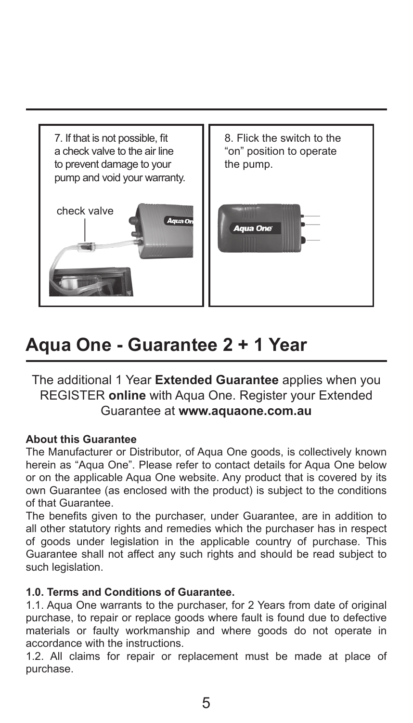

### **Aqua One - Guarantee 2 + 1 Year**

The additional 1 Year **Extended Guarantee** applies when you REGISTER **online** with Aqua One. Register your Extended Guarantee at **www.aquaone.com.au**

### **About this Guarantee**

The Manufacturer or Distributor, of Aqua One goods, is collectively known herein as "Aqua One". Please refer to contact details for Aqua One below or on the applicable Aqua One website. Any product that is covered by its own Guarantee (as enclosed with the product) is subject to the conditions of that Guarantee.

The benefits given to the purchaser, under Guarantee, are in addition to all other statutory rights and remedies which the purchaser has in respect of goods under legislation in the applicable country of purchase. This Guarantee shall not affect any such rights and should be read subject to such legislation.

#### **1.0. Terms and Conditions of Guarantee.**

1.1. Aqua One warrants to the purchaser, for 2 Years from date of original purchase, to repair or replace goods where fault is found due to defective materials or faulty workmanship and where goods do not operate in accordance with the instructions.

1.2. All claims for repair or replacement must be made at place of purchase.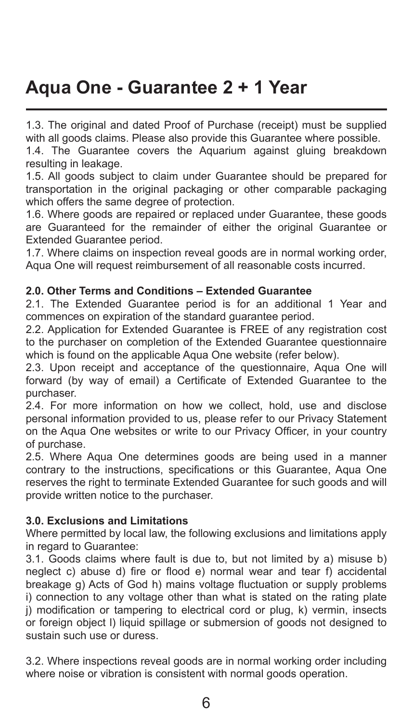## **Aqua One - Guarantee 2 + 1 Year**

1.3. The original and dated Proof of Purchase (receipt) must be supplied with all goods claims. Please also provide this Guarantee where possible.

1.4. The Guarantee covers the Aquarium against gluing breakdown resulting in leakage.

1.5. All goods subject to claim under Guarantee should be prepared for transportation in the original packaging or other comparable packaging which offers the same degree of protection.

1.6. Where goods are repaired or replaced under Guarantee, these goods are Guaranteed for the remainder of either the original Guarantee or Extended Guarantee period.

1.7. Where claims on inspection reveal goods are in normal working order, Aqua One will request reimbursement of all reasonable costs incurred.

### **2.0. Other Terms and Conditions – Extended Guarantee**

2.1. The Extended Guarantee period is for an additional 1 Year and commences on expiration of the standard guarantee period.

2.2. Application for Extended Guarantee is FREE of any registration cost to the purchaser on completion of the Extended Guarantee questionnaire which is found on the applicable Aqua One website (refer below).

2.3. Upon receipt and acceptance of the questionnaire. Aqua One will forward (by way of email) a Certificate of Extended Guarantee to the purchaser.

2.4. For more information on how we collect, hold, use and disclose personal information provided to us, please refer to our Privacy Statement on the Aqua One websites or write to our Privacy Officer, in your country of purchase.

2.5. Where Aqua One determines goods are being used in a manner contrary to the instructions, specifications or this Guarantee, Aqua One reserves the right to terminate Extended Guarantee for such goods and will provide written notice to the purchaser.

### **3.0. Exclusions and Limitations**

Where permitted by local law, the following exclusions and limitations apply in regard to Guarantee:

3.1. Goods claims where fault is due to, but not limited by a) misuse b) neglect c) abuse d) fire or flood e) normal wear and tear f) accidental breakage g) Acts of God h) mains voltage fluctuation or supply problems i) connection to any voltage other than what is stated on the rating plate i) modification or tampering to electrical cord or plug, k) vermin, insects or foreign object l) liquid spillage or submersion of goods not designed to sustain such use or duress.

3.2. Where inspections reveal goods are in normal working order including where noise or vibration is consistent with normal goods operation.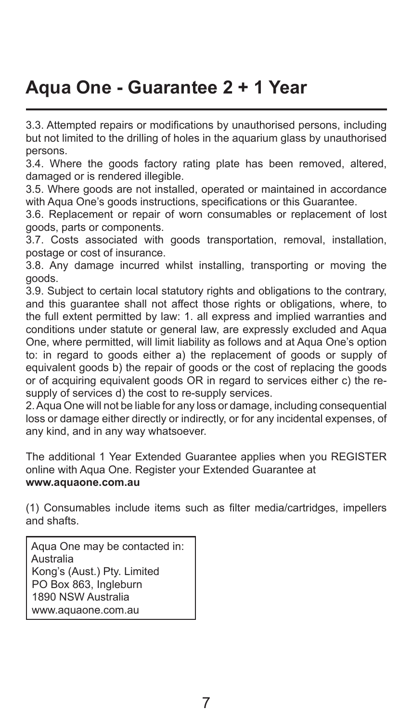## **Aqua One - Guarantee 2 + 1 Year**

3.3. Attempted repairs or modifications by unauthorised persons, including but not limited to the drilling of holes in the aquarium glass by unauthorised persons.

3.4. Where the goods factory rating plate has been removed, altered, damaged or is rendered illegible.

3.5. Where goods are not installed, operated or maintained in accordance with Aqua One's goods instructions, specifications or this Guarantee.

3.6. Replacement or repair of worn consumables or replacement of lost goods, parts or components.

3.7. Costs associated with goods transportation, removal, installation, postage or cost of insurance.

3.8. Any damage incurred whilst installing, transporting or moving the goods.

3.9. Subject to certain local statutory rights and obligations to the contrary, and this guarantee shall not affect those rights or obligations, where, to the full extent permitted by law: 1. all express and implied warranties and conditions under statute or general law, are expressly excluded and Aqua One, where permitted, will limit liability as follows and at Aqua One's option to: in regard to goods either a) the replacement of goods or supply of equivalent goods b) the repair of goods or the cost of replacing the goods or of acquiring equivalent goods OR in regard to services either c) the resupply of services d) the cost to re-supply services.

2. Aqua One will not be liable for any loss or damage, including consequential loss or damage either directly or indirectly, or for any incidental expenses, of any kind, and in any way whatsoever.

The additional 1 Year Extended Guarantee applies when you REGISTER online with Aqua One. Register your Extended Guarantee at **www.aquaone.com.au**

(1) Consumables include items such as filter media/cartridges, impellers and shafts.

 Aqua One may be contacted in: Australia Kong's (Aust.) Pty. Limited PO Box 863, Ingleburn 1890 NSW Australia www.aquaone.com.au